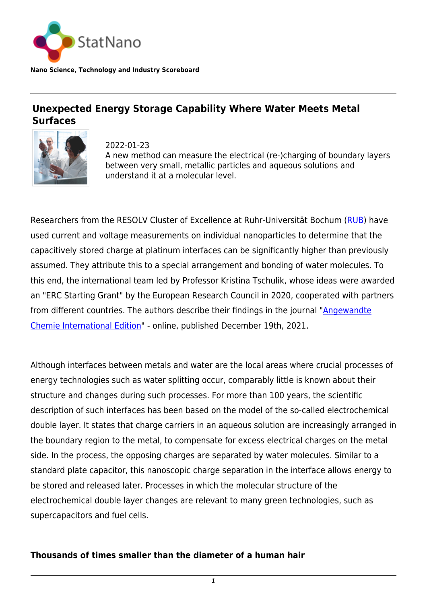

**Nano Science, Technology and Industry Scoreboard**

## **Unexpected Energy Storage Capability Where Water Meets Metal Surfaces**



2022-01-23 A new method can measure the electrical (re-)charging of boundary layers between very small, metallic particles and aqueous solutions and understand it at a molecular level.

Researchers from the RESOLV Cluster of Excellence at Ruhr-Universität Bochum [\(RUB\)](https://statnano.com/org/Ruhr-University-Bochum) have used current and voltage measurements on individual nanoparticles to determine that the capacitively stored charge at platinum interfaces can be significantly higher than previously assumed. They attribute this to a special arrangement and bonding of water molecules. To this end, the international team led by Professor Kristina Tschulik, whose ideas were awarded an "ERC Starting Grant" by the European Research Council in 2020, cooperated with partners from different countries. The authors describe their findings in the journal ["Angewandte](https://onlinelibrary.wiley.com/doi/10.1002/anie.202112679) [Chemie International Edition"](https://onlinelibrary.wiley.com/doi/10.1002/anie.202112679) - online, published December 19th, 2021.

Although interfaces between metals and water are the local areas where crucial processes of energy technologies such as water splitting occur, comparably little is known about their structure and changes during such processes. For more than 100 years, the scientific description of such interfaces has been based on the model of the so-called electrochemical double layer. It states that charge carriers in an aqueous solution are increasingly arranged in the boundary region to the metal, to compensate for excess electrical charges on the metal side. In the process, the opposing charges are separated by water molecules. Similar to a standard plate capacitor, this nanoscopic charge separation in the interface allows energy to be stored and released later. Processes in which the molecular structure of the electrochemical double layer changes are relevant to many green technologies, such as supercapacitors and fuel cells.

## **Thousands of times smaller than the diameter of a human hair**

*1*